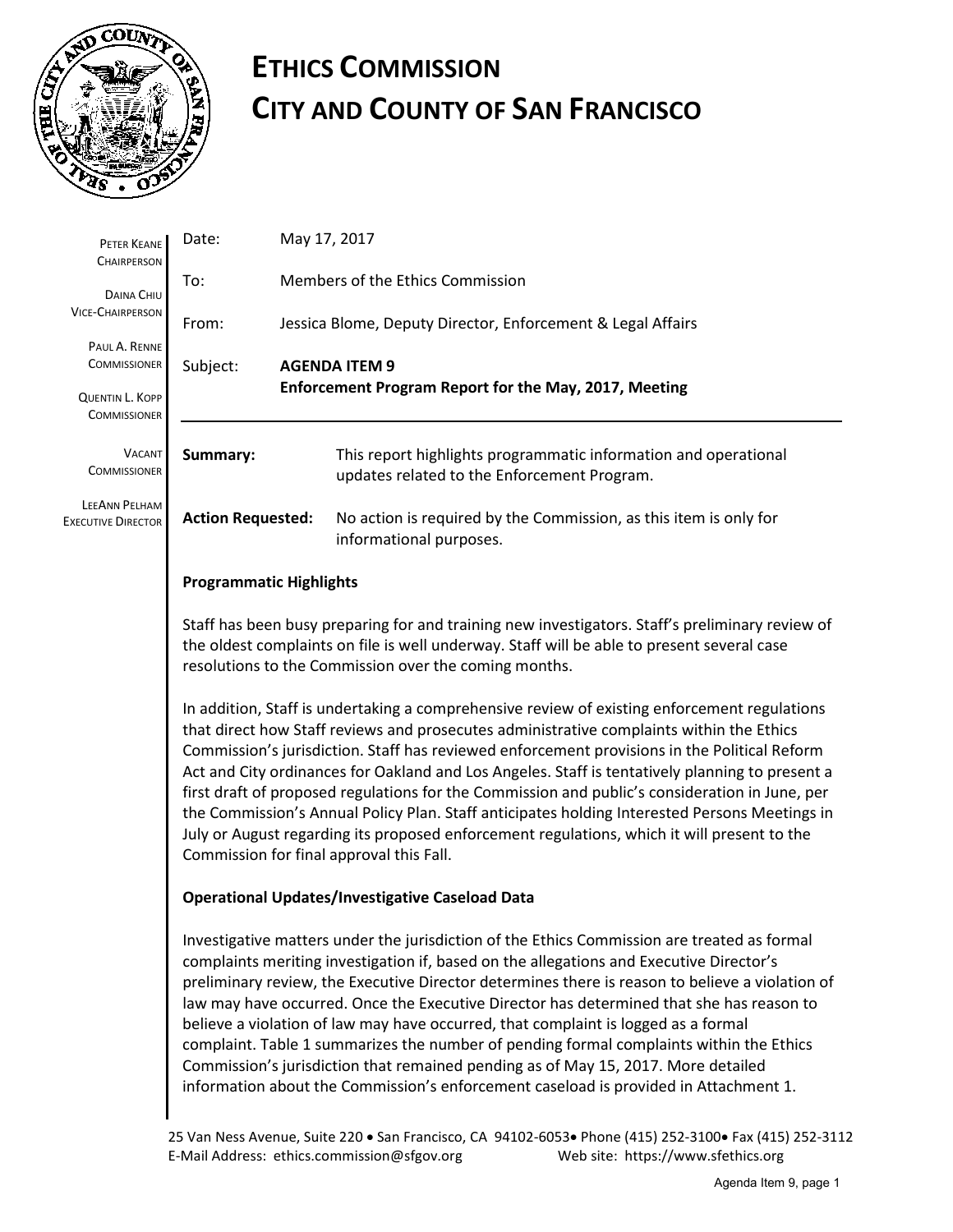

## **ETHICS COMMISSION CITY AND COUNTY OF SAN FRANCISCO**

| PETER KEANE                                   | Date:                                                                                                                                                                                                                                                                                                                                                                                                                                                                                                                                                                                                                                                                                                                                               | May 17, 2017                                                                                                                                                                                  |  |  |  |  |  |  |
|-----------------------------------------------|-----------------------------------------------------------------------------------------------------------------------------------------------------------------------------------------------------------------------------------------------------------------------------------------------------------------------------------------------------------------------------------------------------------------------------------------------------------------------------------------------------------------------------------------------------------------------------------------------------------------------------------------------------------------------------------------------------------------------------------------------------|-----------------------------------------------------------------------------------------------------------------------------------------------------------------------------------------------|--|--|--|--|--|--|
| <b>CHAIRPERSON</b><br>DAINA CHIU              | To:                                                                                                                                                                                                                                                                                                                                                                                                                                                                                                                                                                                                                                                                                                                                                 | Members of the Ethics Commission                                                                                                                                                              |  |  |  |  |  |  |
| <b>VICE-CHAIRPERSON</b>                       | From:                                                                                                                                                                                                                                                                                                                                                                                                                                                                                                                                                                                                                                                                                                                                               | Jessica Blome, Deputy Director, Enforcement & Legal Affairs                                                                                                                                   |  |  |  |  |  |  |
| PAUL A. RENNE<br><b>COMMISSIONER</b>          | Subject:                                                                                                                                                                                                                                                                                                                                                                                                                                                                                                                                                                                                                                                                                                                                            | <b>AGENDA ITEM 9</b><br><b>Enforcement Program Report for the May, 2017, Meeting</b>                                                                                                          |  |  |  |  |  |  |
| <b>QUENTIN L. KOPP</b><br><b>COMMISSIONER</b> |                                                                                                                                                                                                                                                                                                                                                                                                                                                                                                                                                                                                                                                                                                                                                     |                                                                                                                                                                                               |  |  |  |  |  |  |
| <b>VACANT</b><br><b>COMMISSIONER</b>          | Summary:                                                                                                                                                                                                                                                                                                                                                                                                                                                                                                                                                                                                                                                                                                                                            | This report highlights programmatic information and operational<br>updates related to the Enforcement Program.                                                                                |  |  |  |  |  |  |
| LEEANN PELHAM<br><b>EXECUTIVE DIRECTOR</b>    | <b>Action Requested:</b>                                                                                                                                                                                                                                                                                                                                                                                                                                                                                                                                                                                                                                                                                                                            | No action is required by the Commission, as this item is only for<br>informational purposes.                                                                                                  |  |  |  |  |  |  |
|                                               | <b>Programmatic Highlights</b>                                                                                                                                                                                                                                                                                                                                                                                                                                                                                                                                                                                                                                                                                                                      |                                                                                                                                                                                               |  |  |  |  |  |  |
|                                               | Staff has been busy preparing for and training new investigators. Staff's preliminary review of<br>the oldest complaints on file is well underway. Staff will be able to present several case<br>resolutions to the Commission over the coming months.                                                                                                                                                                                                                                                                                                                                                                                                                                                                                              |                                                                                                                                                                                               |  |  |  |  |  |  |
|                                               | In addition, Staff is undertaking a comprehensive review of existing enforcement regulations<br>that direct how Staff reviews and prosecutes administrative complaints within the Ethics<br>Commission's jurisdiction. Staff has reviewed enforcement provisions in the Political Reform<br>Act and City ordinances for Oakland and Los Angeles. Staff is tentatively planning to present a<br>first draft of proposed regulations for the Commission and public's consideration in June, per<br>the Commission's Annual Policy Plan. Staff anticipates holding Interested Persons Meetings in<br>July or August regarding its proposed enforcement regulations, which it will present to the<br>Commission for final approval this Fall.           |                                                                                                                                                                                               |  |  |  |  |  |  |
|                                               | <b>Operational Updates/Investigative Caseload Data</b>                                                                                                                                                                                                                                                                                                                                                                                                                                                                                                                                                                                                                                                                                              |                                                                                                                                                                                               |  |  |  |  |  |  |
|                                               | Investigative matters under the jurisdiction of the Ethics Commission are treated as formal<br>complaints meriting investigation if, based on the allegations and Executive Director's<br>preliminary review, the Executive Director determines there is reason to believe a violation of<br>law may have occurred. Once the Executive Director has determined that she has reason to<br>believe a violation of law may have occurred, that complaint is logged as a formal<br>complaint. Table 1 summarizes the number of pending formal complaints within the Ethics<br>Commission's jurisdiction that remained pending as of May 15, 2017. More detailed<br>information about the Commission's enforcement caseload is provided in Attachment 1. |                                                                                                                                                                                               |  |  |  |  |  |  |
|                                               |                                                                                                                                                                                                                                                                                                                                                                                                                                                                                                                                                                                                                                                                                                                                                     | 25 Van Ness Avenue, Suite 220 · San Francisco, CA 94102-6053 · Phone (415) 252-3100 · Fax (415) 252-3112<br>E-Mail Address: ethics.commission@sfgov.org<br>Web site: https://www.sfethics.org |  |  |  |  |  |  |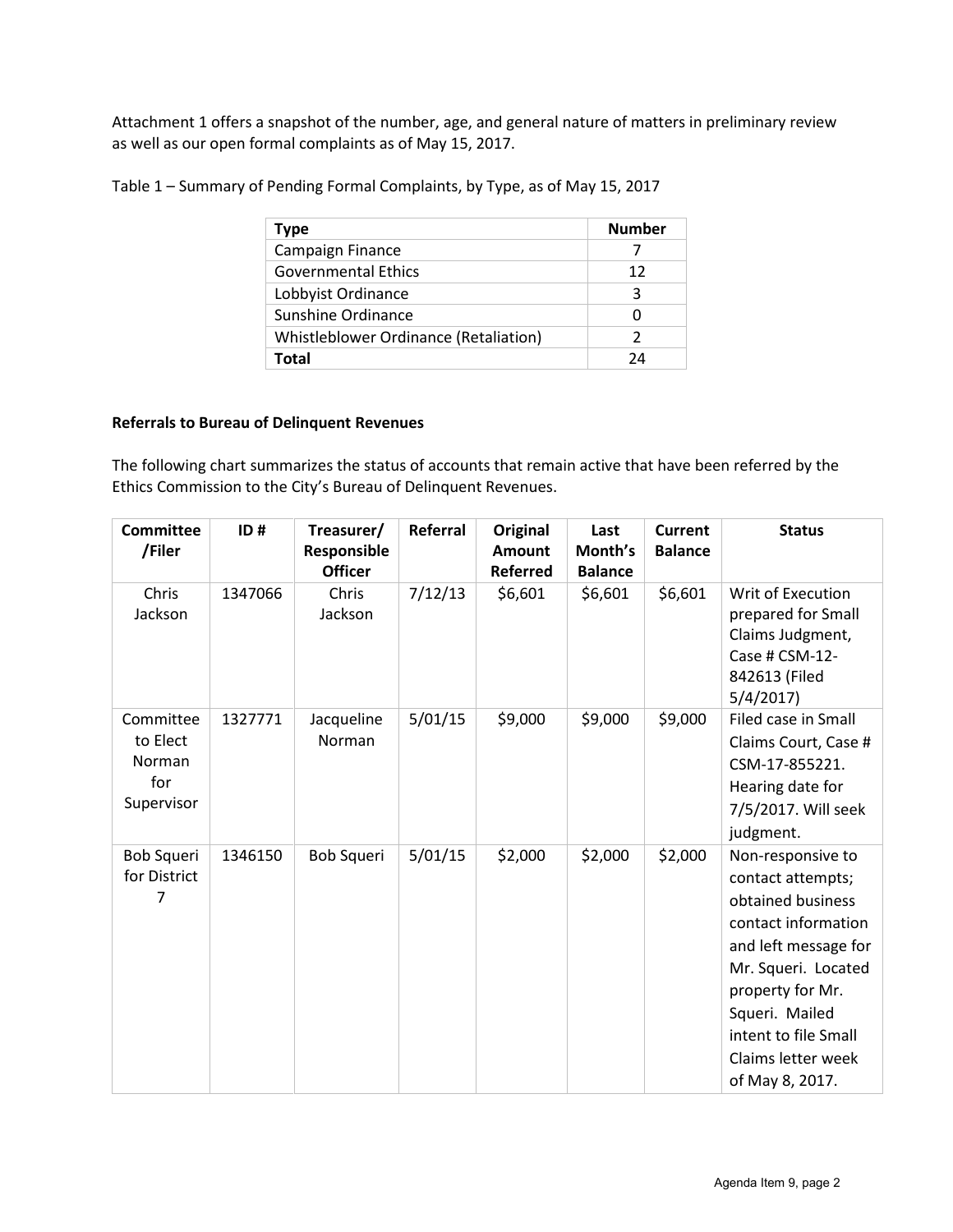Attachment 1 offers a snapshot of the number, age, and general nature of matters in preliminary review as well as our open formal complaints as of May 15, 2017.

Table 1 – Summary of Pending Formal Complaints, by Type, as of May 15, 2017

| Type                                         | <b>Number</b> |
|----------------------------------------------|---------------|
| Campaign Finance                             |               |
| <b>Governmental Ethics</b>                   | 12            |
| Lobbyist Ordinance                           | ς             |
| Sunshine Ordinance                           |               |
| <b>Whistleblower Ordinance (Retaliation)</b> | 2             |
| Total                                        | 2Δ            |

## **Referrals to Bureau of Delinquent Revenues**

The following chart summarizes the status of accounts that remain active that have been referred by the Ethics Commission to the City's Bureau of Delinquent Revenues.

| <b>Committee</b>                                     | ID#     | Treasurer/                    | Referral | Original           | Last                      | <b>Current</b> | <b>Status</b>                                                                                                                                                                                                                            |
|------------------------------------------------------|---------|-------------------------------|----------|--------------------|---------------------------|----------------|------------------------------------------------------------------------------------------------------------------------------------------------------------------------------------------------------------------------------------------|
| /Filer                                               |         | Responsible<br><b>Officer</b> |          | Amount<br>Referred | Month's<br><b>Balance</b> | <b>Balance</b> |                                                                                                                                                                                                                                          |
| Chris<br>Jackson                                     | 1347066 | Chris<br>Jackson              | 7/12/13  | \$6,601            | \$6,601                   | \$6,601        | Writ of Execution<br>prepared for Small<br>Claims Judgment,<br>Case # CSM-12-<br>842613 (Filed<br>5/4/2017                                                                                                                               |
| Committee<br>to Elect<br>Norman<br>for<br>Supervisor | 1327771 | Jacqueline<br>Norman          | 5/01/15  | \$9,000            | \$9,000                   | \$9,000        | Filed case in Small<br>Claims Court, Case #<br>CSM-17-855221.<br>Hearing date for<br>7/5/2017. Will seek<br>judgment.                                                                                                                    |
| Bob Squeri<br>for District<br>7                      | 1346150 | Bob Squeri                    | 5/01/15  | \$2,000            | \$2,000                   | \$2,000        | Non-responsive to<br>contact attempts;<br>obtained business<br>contact information<br>and left message for<br>Mr. Squeri. Located<br>property for Mr.<br>Squeri. Mailed<br>intent to file Small<br>Claims letter week<br>of May 8, 2017. |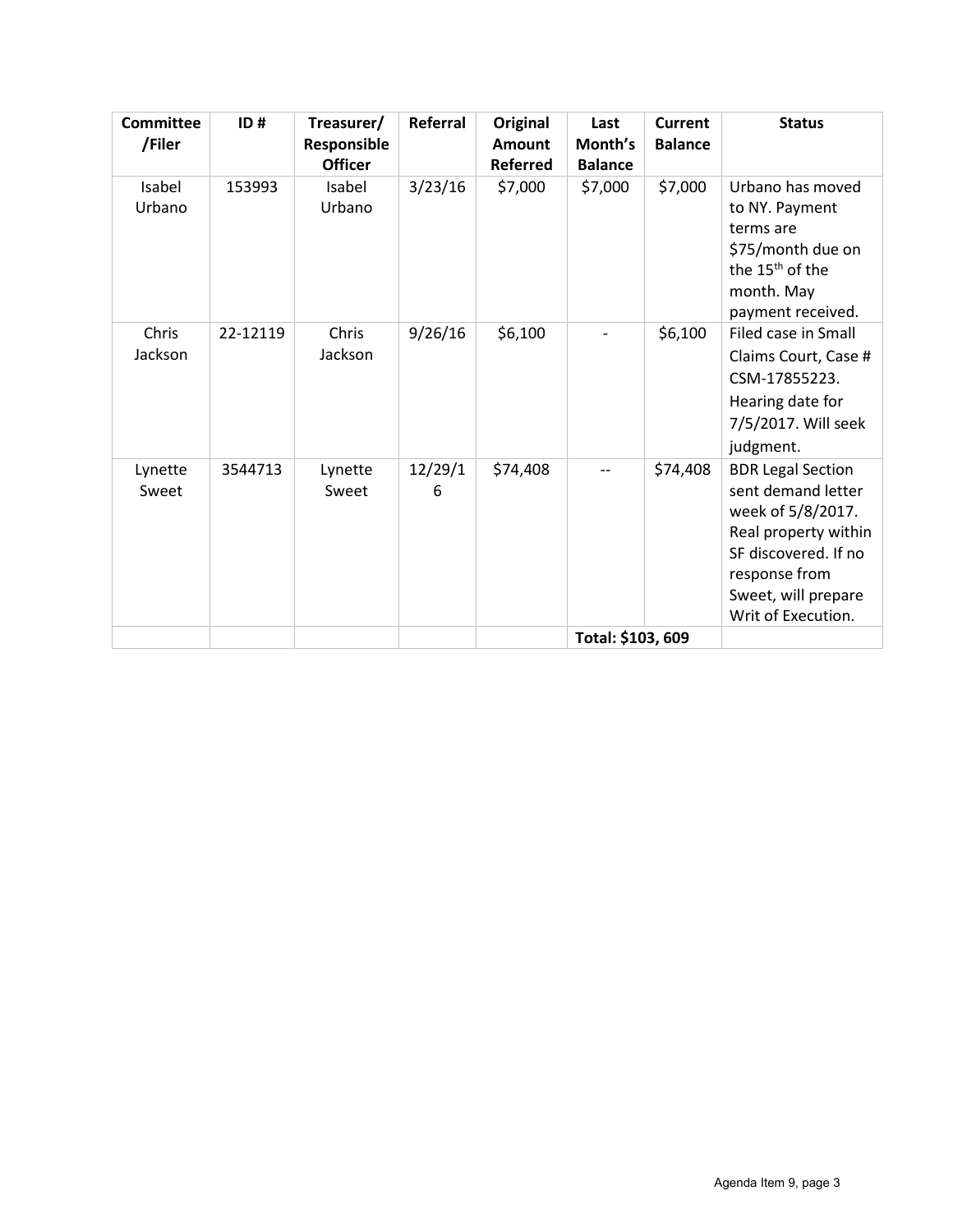| <b>Committee</b><br>/Filer | ID#      | Treasurer/<br>Responsible<br><b>Officer</b> | Referral     | <b>Original</b><br><b>Amount</b><br><b>Referred</b> | Last<br>Month's<br><b>Balance</b> | <b>Current</b><br><b>Balance</b> | <b>Status</b>                                                                                                                                                                     |
|----------------------------|----------|---------------------------------------------|--------------|-----------------------------------------------------|-----------------------------------|----------------------------------|-----------------------------------------------------------------------------------------------------------------------------------------------------------------------------------|
| Isabel<br>Urbano           | 153993   | Isabel<br>Urbano                            | 3/23/16      | \$7,000                                             | \$7,000                           | \$7,000                          | Urbano has moved<br>to NY. Payment<br>terms are<br>\$75/month due on<br>the 15 <sup>th</sup> of the<br>month. May<br>payment received.                                            |
| Chris<br>Jackson           | 22-12119 | Chris<br>Jackson                            | 9/26/16      | \$6,100                                             |                                   | \$6,100                          | Filed case in Small<br>Claims Court, Case #<br>CSM-17855223.<br>Hearing date for<br>7/5/2017. Will seek<br>judgment.                                                              |
| Lynette<br>Sweet           | 3544713  | Lynette<br>Sweet                            | 12/29/1<br>6 | \$74,408                                            |                                   | \$74,408                         | <b>BDR Legal Section</b><br>sent demand letter<br>week of 5/8/2017.<br>Real property within<br>SF discovered. If no<br>response from<br>Sweet, will prepare<br>Writ of Execution. |
|                            |          |                                             |              |                                                     | Total: \$103, 609                 |                                  |                                                                                                                                                                                   |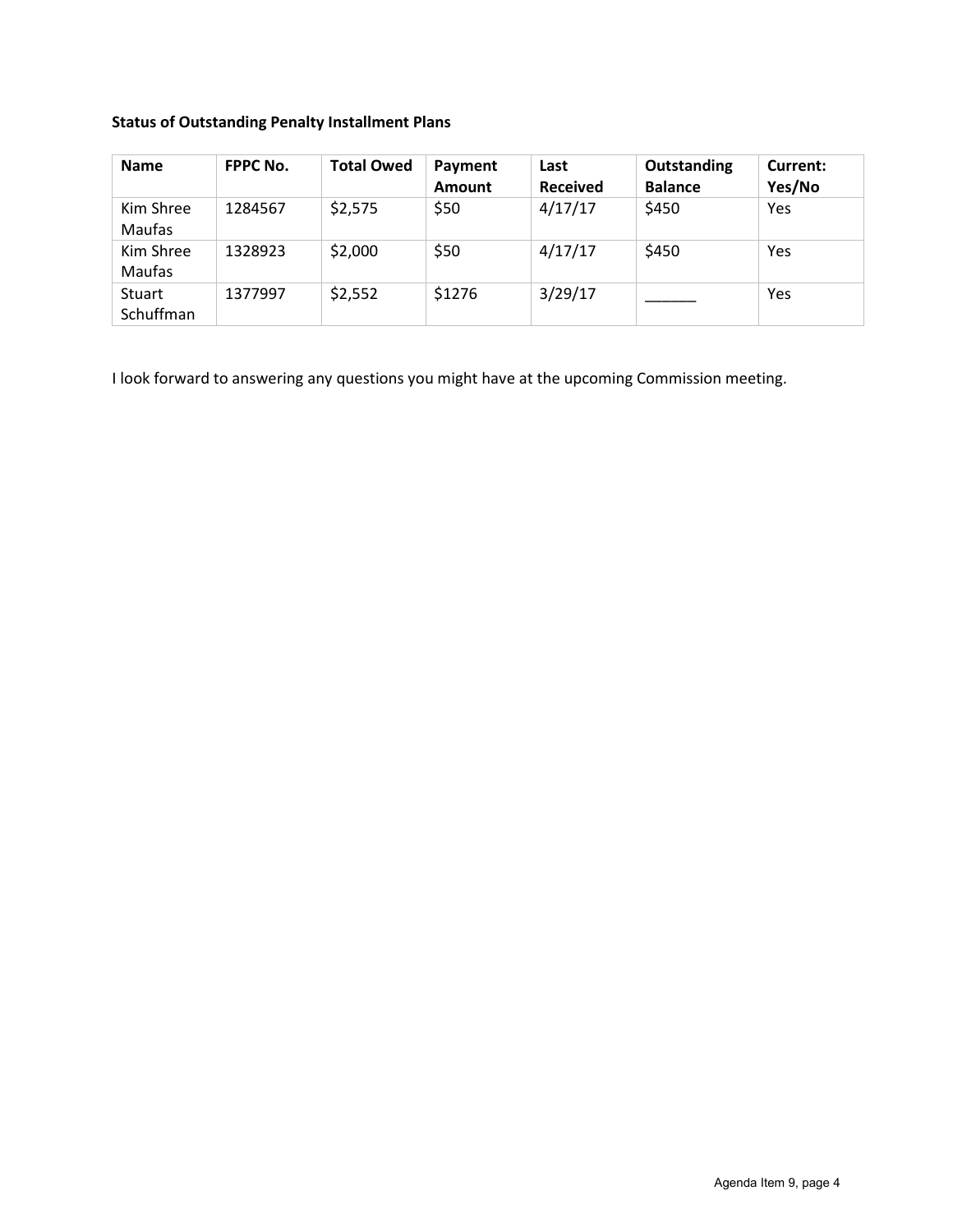## **Status of Outstanding Penalty Installment Plans**

| <b>Name</b>         | <b>FPPC No.</b> | <b>Total Owed</b> | Payment<br>Amount | Last<br><b>Received</b> | Outstanding<br><b>Balance</b> | Current:<br>Yes/No |
|---------------------|-----------------|-------------------|-------------------|-------------------------|-------------------------------|--------------------|
| Kim Shree<br>Maufas | 1284567         | \$2,575           | \$50              | 4/17/17                 | \$450                         | Yes                |
| Kim Shree<br>Maufas | 1328923         | \$2,000           | \$50              | 4/17/17                 | \$450                         | Yes                |
| Stuart<br>Schuffman | 1377997         | \$2,552           | \$1276            | 3/29/17                 |                               | Yes                |

I look forward to answering any questions you might have at the upcoming Commission meeting.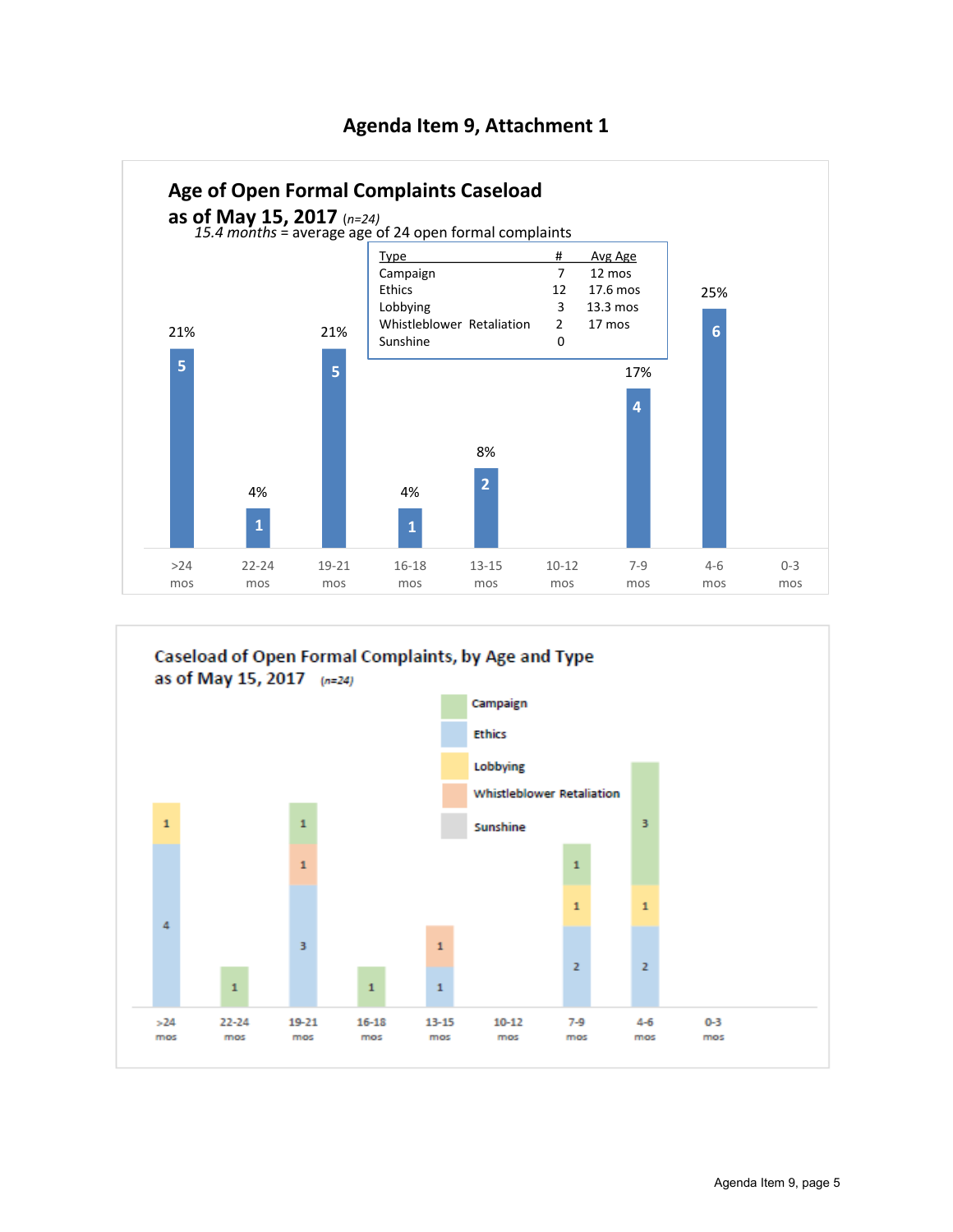## **Agenda Item 9, Attachment 1**